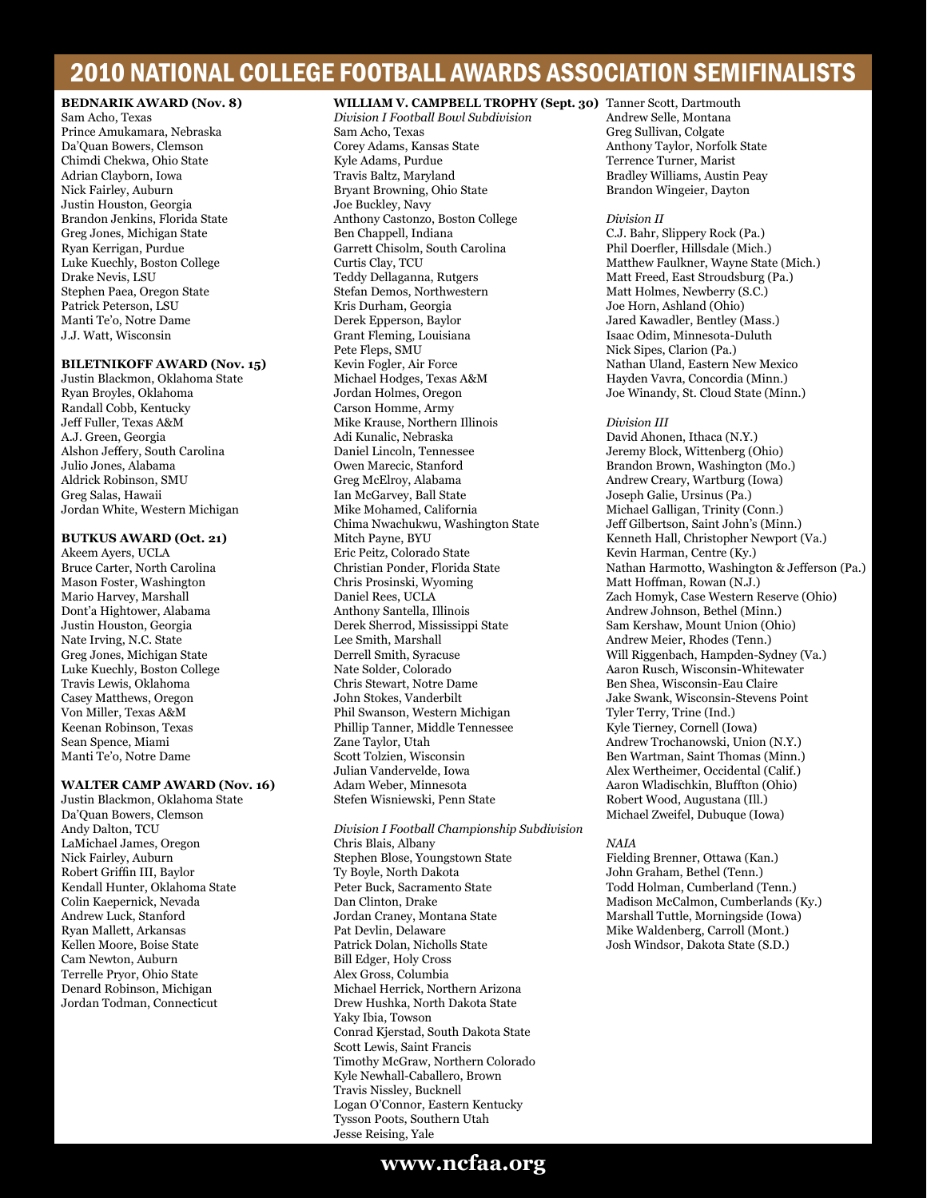# 2010 NATIONAL COLLEGE FOOTBALL AWARDS ASSOCIATION SEMIFINALISTS

## **BEDNARIK AWARD (Nov. 8)**

Sam Acho, Texas Prince Amukamara, Nebraska Da'Quan Bowers, Clemson Chimdi Chekwa, Ohio State Adrian Clayborn, Iowa Nick Fairley, Auburn Justin Houston, Georgia Brandon Jenkins, Florida State Greg Jones, Michigan State Ryan Kerrigan, Purdue Luke Kuechly, Boston College Drake Nevis, LSU Stephen Paea, Oregon State Patrick Peterson, LSU Manti Te'o, Notre Dame J.J. Watt, Wisconsin

## **BILETNIKOFF AWARD (Nov. 15)**

Justin Blackmon, Oklahoma State Ryan Broyles, Oklahoma Randall Cobb, Kentucky Jeff Fuller, Texas A&M A.J. Green, Georgia Alshon Jeffery, South Carolina Julio Jones, Alabama Aldrick Robinson, SMU Greg Salas, Hawaii Jordan White, Western Michigan

## **BUTKUS AWARD (Oct. 21)**

Akeem Ayers, UCLA Bruce Carter, North Carolina Mason Foster, Washington Mario Harvey, Marshall Dont'a Hightower, Alabama Justin Houston, Georgia Nate Irving, N.C. State Greg Jones, Michigan State Luke Kuechly, Boston College Travis Lewis, Oklahoma Casey Matthews, Oregon Von Miller, Texas A&M Keenan Robinson, Texas Sean Spence, Miami Manti Te'o, Notre Dame

#### **WALTER CAMP AWARD (Nov. 16)**

Justin Blackmon, Oklahoma State Da'Quan Bowers, Clemson Andy Dalton, TCU LaMichael James, Oregon Nick Fairley, Auburn Robert Griffin III, Baylor Kendall Hunter, Oklahoma State Colin Kaepernick, Nevada Andrew Luck, Stanford Ryan Mallett, Arkansas Kellen Moore, Boise State Cam Newton, Auburn Terrelle Pryor, Ohio State Denard Robinson, Michigan Jordan Todman, Connecticut

## **WILLIAM V. CAMPBELL TROPHY (Sept. 30)** Tanner Scott, Dartmouth

*Division I Football Bowl Subdivision* Sam Acho, Texas Corey Adams, Kansas State Kyle Adams, Purdue Travis Baltz, Maryland Bryant Browning, Ohio State Joe Buckley, Navy Anthony Castonzo, Boston College Ben Chappell, Indiana Garrett Chisolm, South Carolina Curtis Clay, TCU Teddy Dellaganna, Rutgers Stefan Demos, Northwestern Kris Durham, Georgia Derek Epperson, Baylor Grant Fleming, Louisiana Pete Fleps, SMU Kevin Fogler, Air Force Michael Hodges, Texas A&M Jordan Holmes, Oregon Carson Homme, Army Mike Krause, Northern Illinois Adi Kunalic, Nebraska Daniel Lincoln, Tennessee Owen Marecic, Stanford Greg McElroy, Alabama Ian McGarvey, Ball State Mike Mohamed, California Chima Nwachukwu, Washington State Mitch Payne, BYU Eric Peitz, Colorado State Christian Ponder, Florida State Chris Prosinski, Wyoming Daniel Rees, UCLA Anthony Santella, Illinois Derek Sherrod, Mississippi State Lee Smith, Marshall Derrell Smith, Syracuse Nate Solder, Colorado Chris Stewart, Notre Dame John Stokes, Vanderbilt Phil Swanson, Western Michigan Phillip Tanner, Middle Tennessee Zane Taylor, Utah Scott Tolzien, Wisconsin Julian Vandervelde, Iowa Adam Weber, Minnesota Stefen Wisniewski, Penn State

*Division I Football Championship Subdivision* Chris Blais, Albany Stephen Blose, Youngstown State Ty Boyle, North Dakota Peter Buck, Sacramento State Dan Clinton, Drake Jordan Craney, Montana State Pat Devlin, Delaware Patrick Dolan, Nicholls State Bill Edger, Holy Cross Alex Gross, Columbia Michael Herrick, Northern Arizona Drew Hushka, North Dakota State Yaky Ibia, Towson Conrad Kjerstad, South Dakota State Scott Lewis, Saint Francis Timothy McGraw, Northern Colorado Kyle Newhall-Caballero, Brown Travis Nissley, Bucknell Logan O'Connor, Eastern Kentucky Tysson Poots, Southern Utah Jesse Reising, Yale

Andrew Selle, Montana Greg Sullivan, Colgate Anthony Taylor, Norfolk State Terrence Turner, Marist Bradley Williams, Austin Peay Brandon Wingeier, Dayton

#### *Division II*

C.J. Bahr, Slippery Rock (Pa.) Phil Doerfler, Hillsdale (Mich.) Matthew Faulkner, Wayne State (Mich.) Matt Freed, East Stroudsburg (Pa.) Matt Holmes, Newberry (S.C.) Joe Horn, Ashland (Ohio) Jared Kawadler, Bentley (Mass.) Isaac Odim, Minnesota-Duluth Nick Sipes, Clarion (Pa.) Nathan Uland, Eastern New Mexico Hayden Vavra, Concordia (Minn.) Joe Winandy, St. Cloud State (Minn.)

#### *Division III*

David Ahonen, Ithaca (N.Y.) Jeremy Block, Wittenberg (Ohio) Brandon Brown, Washington (Mo.) Andrew Creary, Wartburg (Iowa) Joseph Galie, Ursinus (Pa.) Michael Galligan, Trinity (Conn.) Jeff Gilbertson, Saint John's (Minn.) Kenneth Hall, Christopher Newport (Va.) Kevin Harman, Centre (Ky.) Nathan Harmotto, Washington & Jefferson (Pa.) Matt Hoffman, Rowan (N.J.) Zach Homyk, Case Western Reserve (Ohio) Andrew Johnson, Bethel (Minn.) Sam Kershaw, Mount Union (Ohio) Andrew Meier, Rhodes (Tenn.) Will Riggenbach, Hampden-Sydney (Va.) Aaron Rusch, Wisconsin-Whitewater Ben Shea, Wisconsin-Eau Claire Jake Swank, Wisconsin-Stevens Point Tyler Terry, Trine (Ind.) Kyle Tierney, Cornell (Iowa) Andrew Trochanowski, Union (N.Y.) Ben Wartman, Saint Thomas (Minn.) Alex Wertheimer, Occidental (Calif.) Aaron Wladischkin, Bluffton (Ohio) Robert Wood, Augustana (Ill.) Michael Zweifel, Dubuque (Iowa)

## *NAIA*

Fielding Brenner, Ottawa (Kan.) John Graham, Bethel (Tenn.) Todd Holman, Cumberland (Tenn.) Madison McCalmon, Cumberlands (Ky.) Marshall Tuttle, Morningside (Iowa) Mike Waldenberg, Carroll (Mont.) Josh Windsor, Dakota State (S.D.)

## **www.ncfaa.org**